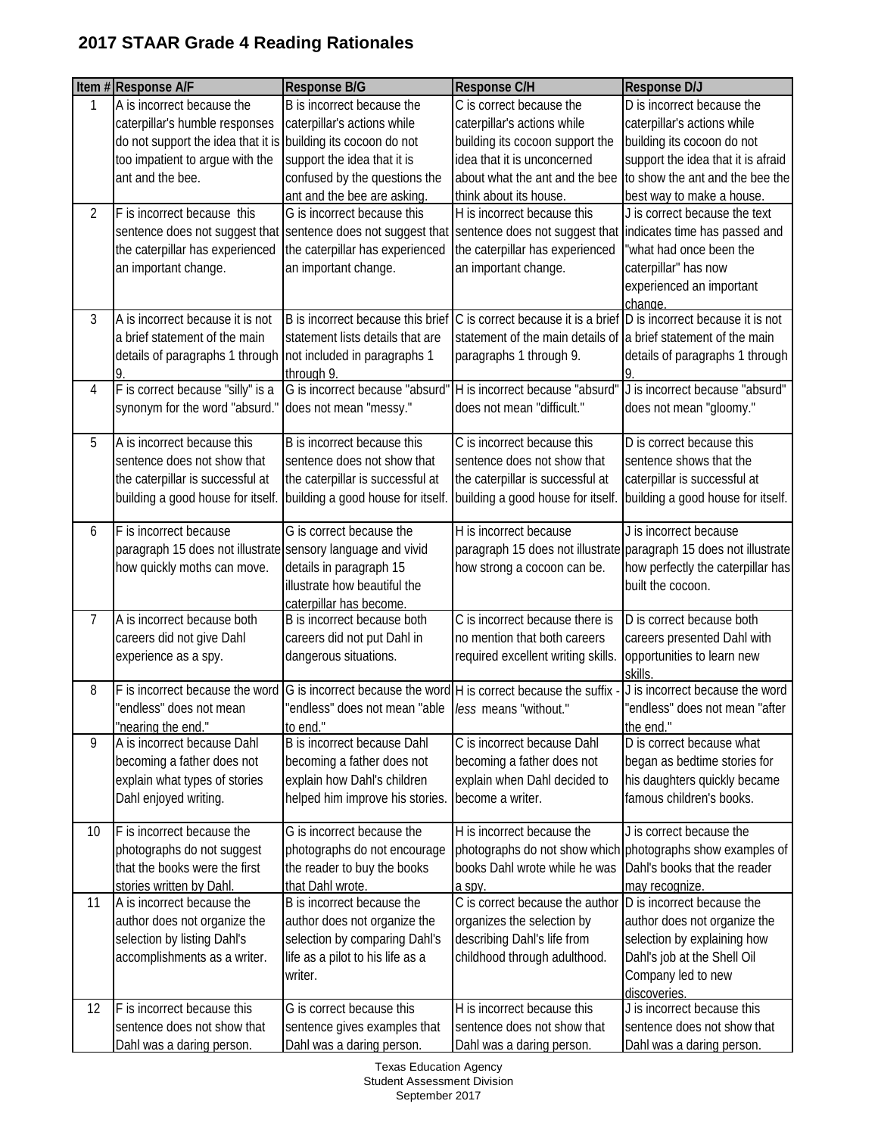|    | Item #Response A/F                                            | Response B/G                                                                                            | Response C/H                                                        | <b>Response D/J</b>                                               |
|----|---------------------------------------------------------------|---------------------------------------------------------------------------------------------------------|---------------------------------------------------------------------|-------------------------------------------------------------------|
| 1  | A is incorrect because the                                    | B is incorrect because the                                                                              | C is correct because the                                            | D is incorrect because the                                        |
|    | caterpillar's humble responses                                | caterpillar's actions while                                                                             | caterpillar's actions while                                         | caterpillar's actions while                                       |
|    | do not support the idea that it is                            | building its cocoon do not                                                                              | building its cocoon support the                                     | building its cocoon do not                                        |
|    | too impatient to argue with the                               | support the idea that it is                                                                             | idea that it is unconcerned                                         | support the idea that it is afraid                                |
|    | ant and the bee.                                              | confused by the questions the                                                                           | about what the ant and the bee                                      | to show the ant and the bee the                                   |
|    |                                                               | ant and the bee are asking.                                                                             | think about its house.                                              | best way to make a house.                                         |
| 2  | F is incorrect because this                                   | G is incorrect because this                                                                             | H is incorrect because this                                         | J is correct because the text                                     |
|    | sentence does not suggest that sentence does not suggest that |                                                                                                         | sentence does not suggest that indicates time has passed and        |                                                                   |
|    | the caterpillar has experienced                               | the caterpillar has experienced                                                                         | the caterpillar has experienced                                     | "what had once been the                                           |
|    | an important change.                                          | an important change.                                                                                    | an important change.                                                | caterpillar" has now                                              |
|    |                                                               |                                                                                                         |                                                                     | experienced an important                                          |
|    |                                                               |                                                                                                         |                                                                     | change.                                                           |
| 3  | A is incorrect because it is not                              | B is incorrect because this brief                                                                       | C is correct because it is a brief D is incorrect because it is not |                                                                   |
|    | a brief statement of the main                                 | statement lists details that are                                                                        | statement of the main details of a brief statement of the main      |                                                                   |
|    | details of paragraphs 1 through not included in paragraphs 1  |                                                                                                         | paragraphs 1 through 9.                                             | details of paragraphs 1 through                                   |
|    |                                                               | through 9.                                                                                              |                                                                     |                                                                   |
| 4  | F is correct because "silly" is a                             | G is incorrect because "absurd"                                                                         | H is incorrect because "absurd"                                     | J is incorrect because "absurd"                                   |
|    | synonym for the word "absurd."                                | does not mean "messy."                                                                                  | does not mean "difficult."                                          | does not mean "gloomy."                                           |
| 5  | A is incorrect because this                                   | B is incorrect because this                                                                             | C is incorrect because this                                         | D is correct because this                                         |
|    | sentence does not show that                                   | sentence does not show that                                                                             | sentence does not show that                                         | sentence shows that the                                           |
|    | the caterpillar is successful at                              | the caterpillar is successful at                                                                        | the caterpillar is successful at                                    | caterpillar is successful at                                      |
|    | building a good house for itself.                             | building a good house for itself.                                                                       | building a good house for itself.                                   | building a good house for itself.                                 |
|    |                                                               |                                                                                                         |                                                                     |                                                                   |
| 6  | F is incorrect because                                        | G is correct because the                                                                                | H is incorrect because                                              | J is incorrect because                                            |
|    | paragraph 15 does not illustrate sensory language and vivid   |                                                                                                         |                                                                     | paragraph 15 does not illustrate paragraph 15 does not illustrate |
|    | how quickly moths can move.                                   | details in paragraph 15                                                                                 | how strong a cocoon can be.                                         | how perfectly the caterpillar has                                 |
|    |                                                               | illustrate how beautiful the                                                                            |                                                                     | built the cocoon.                                                 |
|    |                                                               | caterpillar has become.                                                                                 |                                                                     |                                                                   |
| 7  | A is incorrect because both                                   | B is incorrect because both                                                                             | C is incorrect because there is                                     | D is correct because both                                         |
|    | careers did not give Dahl                                     | careers did not put Dahl in                                                                             | no mention that both careers                                        | careers presented Dahl with                                       |
|    | experience as a spy.                                          | dangerous situations.                                                                                   | required excellent writing skills.                                  | opportunities to learn new                                        |
|    |                                                               |                                                                                                         |                                                                     | skills                                                            |
| 8  |                                                               | F is incorrect because the word $ G $ is incorrect because the word $ H $ is correct because the suffix |                                                                     | J is incorrect because the word                                   |
|    | "endless" does not mean                                       | "endless" does not mean "able   less means "without."                                                   |                                                                     | "endless" does not mean "after                                    |
|    | "nearing the end."                                            | to end."                                                                                                |                                                                     | the end."                                                         |
| 9  | A is incorrect because Dahl                                   | B is incorrect because Dahl                                                                             | C is incorrect because Dahl                                         | D is correct because what                                         |
|    | becoming a father does not                                    | becoming a father does not                                                                              | becoming a father does not                                          | began as bedtime stories for                                      |
|    | explain what types of stories                                 | explain how Dahl's children                                                                             | explain when Dahl decided to                                        | his daughters quickly became                                      |
|    | Dahl enjoyed writing.                                         | helped him improve his stories.                                                                         | become a writer.                                                    | famous children's books.                                          |
| 10 | F is incorrect because the                                    | G is incorrect because the                                                                              | H is incorrect because the                                          | J is correct because the                                          |
|    | photographs do not suggest                                    | photographs do not encourage                                                                            |                                                                     | photographs do not show which photographs show examples of        |
|    | that the books were the first                                 | the reader to buy the books                                                                             | books Dahl wrote while he was                                       | Dahl's books that the reader                                      |
|    | stories written by Dahl.                                      | that Dahl wrote.                                                                                        | a spy.                                                              | may recognize.                                                    |
| 11 | A is incorrect because the                                    | B is incorrect because the                                                                              | C is correct because the author                                     | D is incorrect because the                                        |
|    | author does not organize the                                  | author does not organize the                                                                            | organizes the selection by                                          | author does not organize the                                      |
|    | selection by listing Dahl's                                   | selection by comparing Dahl's                                                                           | describing Dahl's life from                                         | selection by explaining how                                       |
|    | accomplishments as a writer.                                  | life as a pilot to his life as a                                                                        | childhood through adulthood.                                        | Dahl's job at the Shell Oil                                       |
|    |                                                               | writer.                                                                                                 |                                                                     | Company led to new                                                |
|    |                                                               |                                                                                                         |                                                                     | discoveries.                                                      |
| 12 | F is incorrect because this                                   | G is correct because this                                                                               | H is incorrect because this                                         | J is incorrect because this                                       |
|    | sentence does not show that                                   | sentence gives examples that                                                                            | sentence does not show that                                         | sentence does not show that                                       |
|    | Dahl was a daring person.                                     | Dahl was a daring person.                                                                               | Dahl was a daring person.                                           | Dahl was a daring person.                                         |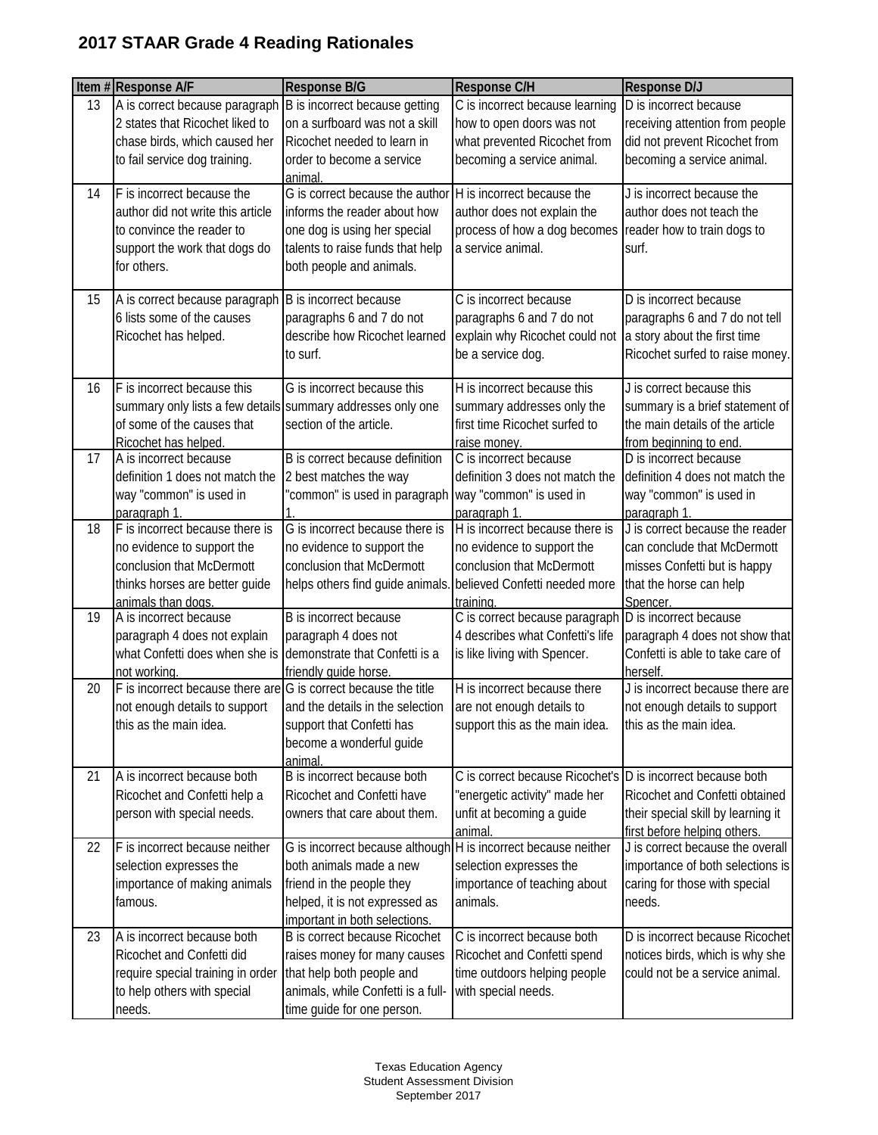|    | Item #Response A/F                                              | Response B/G                                                     | Response C/H                                                | <b>Response D/J</b>                                                |
|----|-----------------------------------------------------------------|------------------------------------------------------------------|-------------------------------------------------------------|--------------------------------------------------------------------|
| 13 | A is correct because paragraph                                  | B is incorrect because getting                                   | C is incorrect because learning                             | D is incorrect because                                             |
|    | 2 states that Ricochet liked to                                 | on a surfboard was not a skill                                   | how to open doors was not                                   | receiving attention from people                                    |
|    | chase birds, which caused her                                   | Ricochet needed to learn in                                      | what prevented Ricochet from                                | did not prevent Ricochet from                                      |
|    | to fail service dog training.                                   | order to become a service<br>animal.                             | becoming a service animal.                                  | becoming a service animal.                                         |
| 14 | F is incorrect because the                                      | G is correct because the author                                  | H is incorrect because the                                  | J is incorrect because the                                         |
|    | author did not write this article                               | informs the reader about how                                     | author does not explain the                                 | author does not teach the                                          |
|    | to convince the reader to                                       | one dog is using her special                                     | process of how a dog becomes                                | reader how to train dogs to                                        |
|    | support the work that dogs do                                   | talents to raise funds that help                                 | a service animal.                                           | surf.                                                              |
|    | for others.                                                     | both people and animals.                                         |                                                             |                                                                    |
| 15 | A is correct because paragraph                                  | B is incorrect because                                           | C is incorrect because                                      | D is incorrect because                                             |
|    | 6 lists some of the causes                                      | paragraphs 6 and 7 do not                                        | paragraphs 6 and 7 do not                                   | paragraphs 6 and 7 do not tell                                     |
|    | Ricochet has helped.                                            | describe how Ricochet learned                                    | explain why Ricochet could not a story about the first time |                                                                    |
|    |                                                                 | to surf.                                                         | be a service dog.                                           | Ricochet surfed to raise money.                                    |
| 16 | F is incorrect because this                                     | G is incorrect because this                                      | H is incorrect because this                                 | J is correct because this                                          |
|    | summary only lists a few details summary addresses only one     | section of the article.                                          | summary addresses only the                                  | summary is a brief statement of<br>the main details of the article |
|    | of some of the causes that<br>Ricochet has helped.              |                                                                  | first time Ricochet surfed to<br>raise money.               |                                                                    |
| 17 | A is incorrect because                                          | B is correct because definition                                  | C is incorrect because                                      | from beginning to end.<br>D is incorrect because                   |
|    | definition 1 does not match the                                 | 2 best matches the way                                           | definition 3 does not match the                             | definition 4 does not match the                                    |
|    | way "common" is used in                                         | 'common" is used in paragraph                                    | way "common" is used in                                     | way "common" is used in                                            |
|    | paragraph 1.                                                    |                                                                  | paragraph 1.                                                | paragraph 1.                                                       |
| 18 | F is incorrect because there is                                 | G is incorrect because there is                                  | H is incorrect because there is                             | J is correct because the reader                                    |
|    | no evidence to support the                                      | no evidence to support the                                       | no evidence to support the                                  | can conclude that McDermott                                        |
|    | conclusion that McDermott                                       | conclusion that McDermott                                        | conclusion that McDermott                                   | misses Confetti but is happy                                       |
|    | thinks horses are better guide                                  | helps others find guide animals.                                 | believed Confetti needed more                               | that the horse can help                                            |
|    | animals than dogs.                                              |                                                                  | training.                                                   | Spencer.                                                           |
| 19 | A is incorrect because                                          | B is incorrect because                                           | C is correct because paragraph D is incorrect because       |                                                                    |
|    | paragraph 4 does not explain                                    | paragraph 4 does not                                             | 4 describes what Confetti's life                            | paragraph 4 does not show that                                     |
|    | what Confetti does when she is demonstrate that Confetti is a   |                                                                  | is like living with Spencer.                                | Confetti is able to take care of                                   |
|    | not working.                                                    | friendly quide horse.                                            | H is incorrect because there                                | herself.                                                           |
| 20 | F is incorrect because there are G is correct because the title |                                                                  |                                                             | J is incorrect because there are                                   |
|    | not enough details to support                                   | and the details in the selection                                 | are not enough details to                                   | not enough details to support<br>this as the main idea.            |
|    | this as the main idea.                                          | support that Confetti has                                        | support this as the main idea.                              |                                                                    |
|    |                                                                 | become a wonderful guide<br>animal.                              |                                                             |                                                                    |
| 21 | A is incorrect because both                                     | B is incorrect because both                                      | C is correct because Ricochet's D is incorrect because both |                                                                    |
|    | Ricochet and Confetti help a                                    | Ricochet and Confetti have                                       | "energetic activity" made her                               | Ricochet and Confetti obtained                                     |
|    | person with special needs.                                      | owners that care about them.                                     | unfit at becoming a guide                                   | their special skill by learning it                                 |
|    |                                                                 |                                                                  | animal.                                                     | first before helping others.                                       |
| 22 | F is incorrect because neither                                  | G is incorrect because although   H is incorrect because neither |                                                             | J is correct because the overall                                   |
|    | selection expresses the                                         | both animals made a new                                          | selection expresses the                                     | importance of both selections is                                   |
|    | importance of making animals                                    | friend in the people they                                        | importance of teaching about                                | caring for those with special                                      |
|    | famous.                                                         | helped, it is not expressed as                                   | animals.                                                    | needs.                                                             |
|    |                                                                 | important in both selections.                                    |                                                             |                                                                    |
| 23 | A is incorrect because both                                     | B is correct because Ricochet                                    | C is incorrect because both                                 | D is incorrect because Ricochet                                    |
|    | Ricochet and Confetti did                                       | raises money for many causes                                     | Ricochet and Confetti spend                                 | notices birds, which is why she                                    |
|    | require special training in order                               | that help both people and                                        | time outdoors helping people                                | could not be a service animal.                                     |
|    | to help others with special                                     | animals, while Confetti is a full-                               | with special needs.                                         |                                                                    |
|    | needs.                                                          | time guide for one person.                                       |                                                             |                                                                    |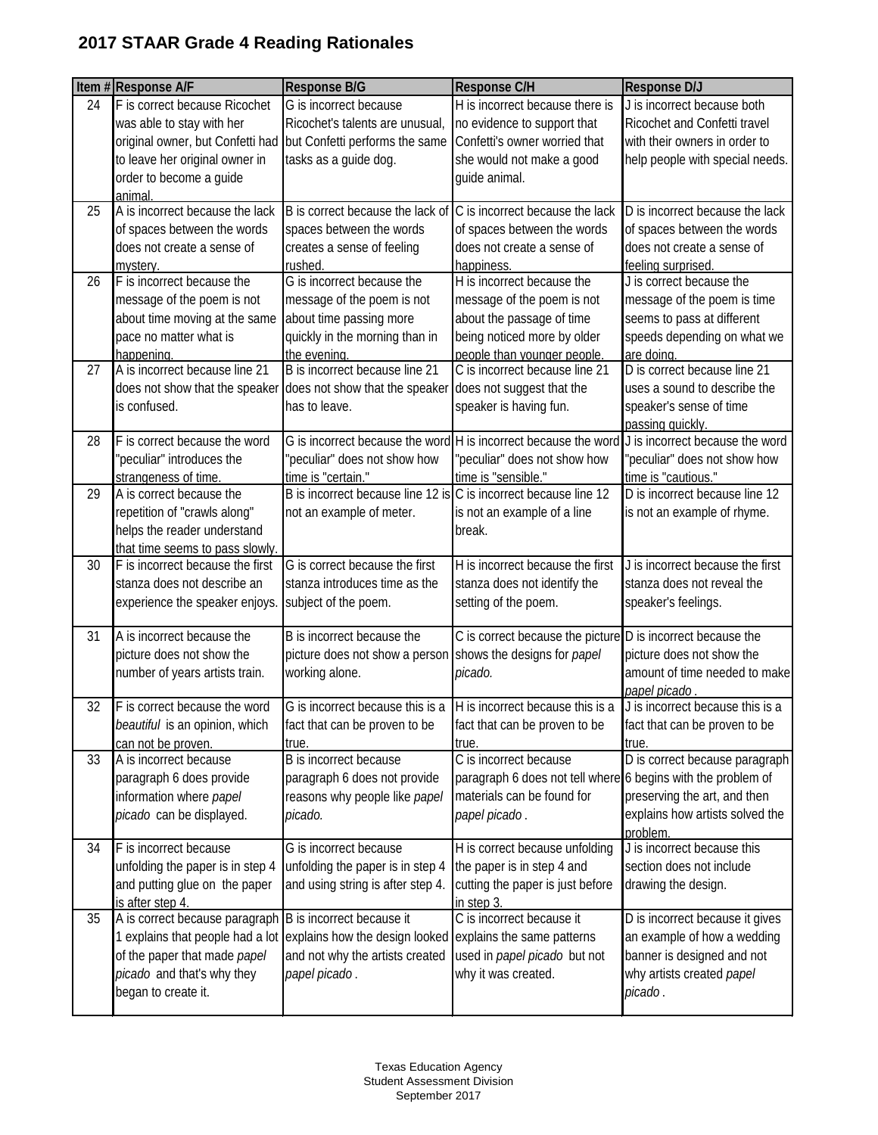|    | Item #Response A/F                                              | <b>Response B/G</b>                                                                     | Response C/H                                                    | Response D/J                                        |
|----|-----------------------------------------------------------------|-----------------------------------------------------------------------------------------|-----------------------------------------------------------------|-----------------------------------------------------|
| 24 | F is correct because Ricochet                                   | G is incorrect because                                                                  | H is incorrect because there is                                 | J is incorrect because both                         |
|    | was able to stay with her                                       | Ricochet's talents are unusual,                                                         | no evidence to support that                                     | Ricochet and Confetti travel                        |
|    | original owner, but Confetti had but Confetti performs the same |                                                                                         | Confetti's owner worried that                                   | with their owners in order to                       |
|    | to leave her original owner in                                  | tasks as a guide dog.                                                                   | she would not make a good                                       | help people with special needs.                     |
|    | order to become a guide                                         |                                                                                         | guide animal.                                                   |                                                     |
|    | animal.                                                         |                                                                                         |                                                                 |                                                     |
| 25 | A is incorrect because the lack                                 | B is correct because the lack of                                                        | C is incorrect because the lack                                 | D is incorrect because the lack                     |
|    | of spaces between the words                                     | spaces between the words                                                                | of spaces between the words                                     | of spaces between the words                         |
|    | does not create a sense of                                      | creates a sense of feeling                                                              | does not create a sense of                                      | does not create a sense of                          |
|    | mystery.                                                        | <b>rushed</b><br>G is incorrect because the                                             | happiness.                                                      | feeling surprised.                                  |
| 26 | F is incorrect because the                                      |                                                                                         | H is incorrect because the                                      | J is correct because the                            |
|    | message of the poem is not                                      | message of the poem is not                                                              | message of the poem is not                                      | message of the poem is time                         |
|    | about time moving at the same                                   | about time passing more                                                                 | about the passage of time                                       | seems to pass at different                          |
|    | pace no matter what is                                          | quickly in the morning than in                                                          | being noticed more by older                                     | speeds depending on what we                         |
| 27 | happening.<br>A is incorrect because line 21                    | the evening.<br>B is incorrect because line 21                                          | people than younger people.<br>C is incorrect because line 21   | are doing.<br>D is correct because line 21          |
|    |                                                                 |                                                                                         |                                                                 | uses a sound to describe the                        |
|    |                                                                 | does not show that the speaker does not show that the speaker does not suggest that the |                                                                 |                                                     |
|    | is confused.                                                    | has to leave.                                                                           | speaker is having fun.                                          | speaker's sense of time                             |
| 28 | F is correct because the word                                   |                                                                                         | G is incorrect because the word H is incorrect because the word | passing quickly.<br>J is incorrect because the word |
|    | "peculiar" introduces the                                       | 'peculiar" does not show how                                                            | "peculiar" does not show how                                    | 'peculiar" does not show how                        |
|    | strangeness of time.                                            | time is "certain."                                                                      | time is "sensible."                                             | time is "cautious."                                 |
| 29 | A is correct because the                                        | B is incorrect because line 12 is C is incorrect because line 12                        |                                                                 | D is incorrect because line 12                      |
|    | repetition of "crawls along"                                    | not an example of meter.                                                                | is not an example of a line                                     | is not an example of rhyme.                         |
|    | helps the reader understand                                     |                                                                                         | break.                                                          |                                                     |
|    | that time seems to pass slowly.                                 |                                                                                         |                                                                 |                                                     |
| 30 | F is incorrect because the first                                | G is correct because the first                                                          | H is incorrect because the first                                | J is incorrect because the first                    |
|    | stanza does not describe an                                     | stanza introduces time as the                                                           | stanza does not identify the                                    | stanza does not reveal the                          |
|    | experience the speaker enjoys.                                  | subject of the poem.                                                                    | setting of the poem.                                            | speaker's feelings.                                 |
|    |                                                                 |                                                                                         |                                                                 |                                                     |
| 31 | A is incorrect because the                                      | B is incorrect because the                                                              | C is correct because the picture D is incorrect because the     |                                                     |
|    | picture does not show the                                       | picture does not show a person                                                          | shows the designs for papel                                     | picture does not show the                           |
|    | number of years artists train.                                  | working alone.                                                                          | picado.                                                         | amount of time needed to make                       |
|    |                                                                 |                                                                                         |                                                                 | papel picado                                        |
| 32 | F is correct because the word                                   | G is incorrect because this is a $H$ is incorrect because this is a                     |                                                                 | J is incorrect because this is a                    |
|    | beautiful is an opinion, which                                  | fact that can be proven to be                                                           | fact that can be proven to be                                   | fact that can be proven to be                       |
|    | can not be proven.                                              | true.                                                                                   | true.                                                           | true.                                               |
| 33 | A is incorrect because                                          | B is incorrect because                                                                  | C is incorrect because                                          | D is correct because paragraph                      |
|    | paragraph 6 does provide                                        | paragraph 6 does not provide                                                            | paragraph 6 does not tell where 6 begins with the problem of    |                                                     |
|    | information where papel                                         | reasons why people like papel                                                           | materials can be found for                                      | preserving the art, and then                        |
|    | picado can be displayed.                                        | picado.                                                                                 | papel picado.                                                   | explains how artists solved the                     |
| 34 | F is incorrect because                                          | G is incorrect because                                                                  | H is correct because unfolding                                  | problem.<br>J is incorrect because this             |
|    | unfolding the paper is in step 4                                | unfolding the paper is in step 4                                                        | the paper is in step 4 and                                      | section does not include                            |
|    | and putting glue on the paper                                   | and using string is after step 4.                                                       | cutting the paper is just before                                | drawing the design.                                 |
|    | is after step 4.                                                |                                                                                         | in step 3.                                                      |                                                     |
| 35 | A is correct because paragraph B is incorrect because it        |                                                                                         | C is incorrect because it                                       | D is incorrect because it gives                     |
|    |                                                                 | 1 explains that people had a lot explains how the design looked                         | explains the same patterns                                      | an example of how a wedding                         |
|    | of the paper that made papel                                    | and not why the artists created                                                         | used in papel picado but not                                    | banner is designed and not                          |
|    | picado and that's why they                                      | papel picado.                                                                           | why it was created.                                             | why artists created papel                           |
|    | began to create it.                                             |                                                                                         |                                                                 | picado.                                             |
|    |                                                                 |                                                                                         |                                                                 |                                                     |